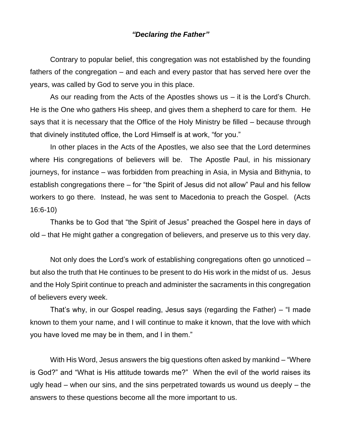## *"Declaring the Father"*

Contrary to popular belief, this congregation was not established by the founding fathers of the congregation – and each and every pastor that has served here over the years, was called by God to serve you in this place.

As our reading from the Acts of the Apostles shows us – it is the Lord's Church. He is the One who gathers His sheep, and gives them a shepherd to care for them. He says that it is necessary that the Office of the Holy Ministry be filled – because through that divinely instituted office, the Lord Himself is at work, "for you."

In other places in the Acts of the Apostles, we also see that the Lord determines where His congregations of believers will be. The Apostle Paul, in his missionary journeys, for instance – was forbidden from preaching in Asia, in Mysia and Bithynia, to establish congregations there – for "the Spirit of Jesus did not allow" Paul and his fellow workers to go there. Instead, he was sent to Macedonia to preach the Gospel. (Acts 16:6-10)

Thanks be to God that "the Spirit of Jesus" preached the Gospel here in days of old – that He might gather a congregation of believers, and preserve us to this very day.

Not only does the Lord's work of establishing congregations often go unnoticed – but also the truth that He continues to be present to do His work in the midst of us. Jesus and the Holy Spirit continue to preach and administer the sacraments in this congregation of believers every week.

That's why, in our Gospel reading, Jesus says (regarding the Father) – "I made known to them your name, and I will continue to make it known, that the love with which you have loved me may be in them, and I in them."

With His Word, Jesus answers the big questions often asked by mankind – "Where is God?" and "What is His attitude towards me?" When the evil of the world raises its ugly head – when our sins, and the sins perpetrated towards us wound us deeply – the answers to these questions become all the more important to us.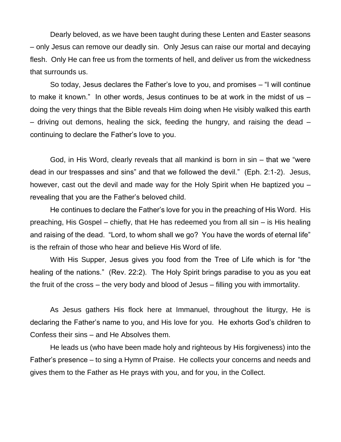Dearly beloved, as we have been taught during these Lenten and Easter seasons – only Jesus can remove our deadly sin. Only Jesus can raise our mortal and decaying flesh. Only He can free us from the torments of hell, and deliver us from the wickedness that surrounds us.

So today, Jesus declares the Father's love to you, and promises – "I will continue to make it known." In other words, Jesus continues to be at work in the midst of us – doing the very things that the Bible reveals Him doing when He visibly walked this earth – driving out demons, healing the sick, feeding the hungry, and raising the dead – continuing to declare the Father's love to you.

God, in His Word, clearly reveals that all mankind is born in sin – that we "were dead in our trespasses and sins" and that we followed the devil." (Eph. 2:1-2). Jesus, however, cast out the devil and made way for the Holy Spirit when He baptized you – revealing that you are the Father's beloved child.

He continues to declare the Father's love for you in the preaching of His Word. His preaching, His Gospel – chiefly, that He has redeemed you from all sin – is His healing and raising of the dead. "Lord, to whom shall we go? You have the words of eternal life" is the refrain of those who hear and believe His Word of life.

With His Supper, Jesus gives you food from the Tree of Life which is for "the healing of the nations." (Rev. 22:2). The Holy Spirit brings paradise to you as you eat the fruit of the cross – the very body and blood of Jesus – filling you with immortality.

As Jesus gathers His flock here at Immanuel, throughout the liturgy, He is declaring the Father's name to you, and His love for you. He exhorts God's children to Confess their sins – and He Absolves them.

He leads us (who have been made holy and righteous by His forgiveness) into the Father's presence – to sing a Hymn of Praise. He collects your concerns and needs and gives them to the Father as He prays with you, and for you, in the Collect.